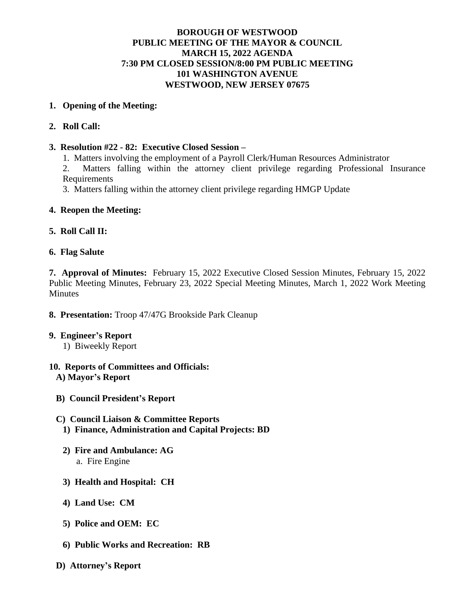## **BOROUGH OF WESTWOOD PUBLIC MEETING OF THE MAYOR & COUNCIL MARCH 15, 2022 AGENDA 7:30 PM CLOSED SESSION/8:00 PM PUBLIC MEETING 101 WASHINGTON AVENUE WESTWOOD, NEW JERSEY 07675**

### **1. Opening of the Meeting:**

### **2. Roll Call:**

### **3. Resolution #22 - 82: Executive Closed Session –**

1. Matters involving the employment of a Payroll Clerk/Human Resources Administrator

2. Matters falling within the attorney client privilege regarding Professional Insurance Requirements

3. Matters falling within the attorney client privilege regarding HMGP Update

### **4. Reopen the Meeting:**

### **5. Roll Call II:**

#### **6. Flag Salute**

**7. Approval of Minutes:** February 15, 2022 Executive Closed Session Minutes, February 15, 2022 Public Meeting Minutes, February 23, 2022 Special Meeting Minutes, March 1, 2022 Work Meeting **Minutes** 

# **8. Presentation:** Troop 47/47G Brookside Park Cleanup

#### **9. Engineer's Report**

1) Biweekly Report

#### **10. Reports of Committees and Officials: A) Mayor's Report**

**B) Council President's Report**

#### **C) Council Liaison & Committee Reports**

- **1) Finance, Administration and Capital Projects: BD**
- **2) Fire and Ambulance: AG** a. Fire Engine
- **3) Health and Hospital: CH**
- **4) Land Use: CM**
- **5) Police and OEM: EC**
- **6) Public Works and Recreation: RB**
- **D) Attorney's Report**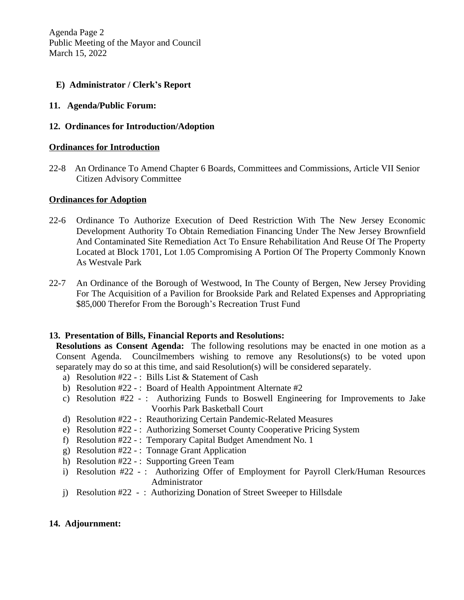Agenda Page 2 Public Meeting of the Mayor and Council March 15, 2022

### **E) Administrator / Clerk's Report**

**11. Agenda/Public Forum:**

### **12. Ordinances for Introduction/Adoption**

#### **Ordinances for Introduction**

22-8 An Ordinance To Amend Chapter 6 Boards, Committees and Commissions, Article VII Senior Citizen Advisory Committee

#### **Ordinances for Adoption**

- 22-6 Ordinance To Authorize Execution of Deed Restriction With The New Jersey Economic Development Authority To Obtain Remediation Financing Under The New Jersey Brownfield And Contaminated Site Remediation Act To Ensure Rehabilitation And Reuse Of The Property Located at Block 1701, Lot 1.05 Compromising A Portion Of The Property Commonly Known As Westvale Park
- 22-7 An Ordinance of the Borough of Westwood, In The County of Bergen, New Jersey Providing For The Acquisition of a Pavilion for Brookside Park and Related Expenses and Appropriating \$85,000 Therefor From the Borough's Recreation Trust Fund

#### **13. Presentation of Bills, Financial Reports and Resolutions:**

**Resolutions as Consent Agenda:** The following resolutions may be enacted in one motion as a Consent Agenda. Councilmembers wishing to remove any Resolutions(s) to be voted upon separately may do so at this time, and said Resolution(s) will be considered separately.

- a) Resolution #22 : Bills List & Statement of Cash
- b) Resolution  $#22 :$  Board of Health Appointment Alternate  $#2$
- c) Resolution #22 : Authorizing Funds to Boswell Engineering for Improvements to Jake Voorhis Park Basketball Court
- d) Resolution #22 : Reauthorizing Certain Pandemic-Related Measures
- e) Resolution #22 : Authorizing Somerset County Cooperative Pricing System
- f) Resolution #22 : Temporary Capital Budget Amendment No. 1
- g) Resolution #22 : Tonnage Grant Application
- h) Resolution #22 : Supporting Green Team
- i) Resolution #22 -: Authorizing Offer of Employment for Payroll Clerk/Human Resources Administrator
- j) Resolution #22 : Authorizing Donation of Street Sweeper to Hillsdale

# **14. Adjournment:**